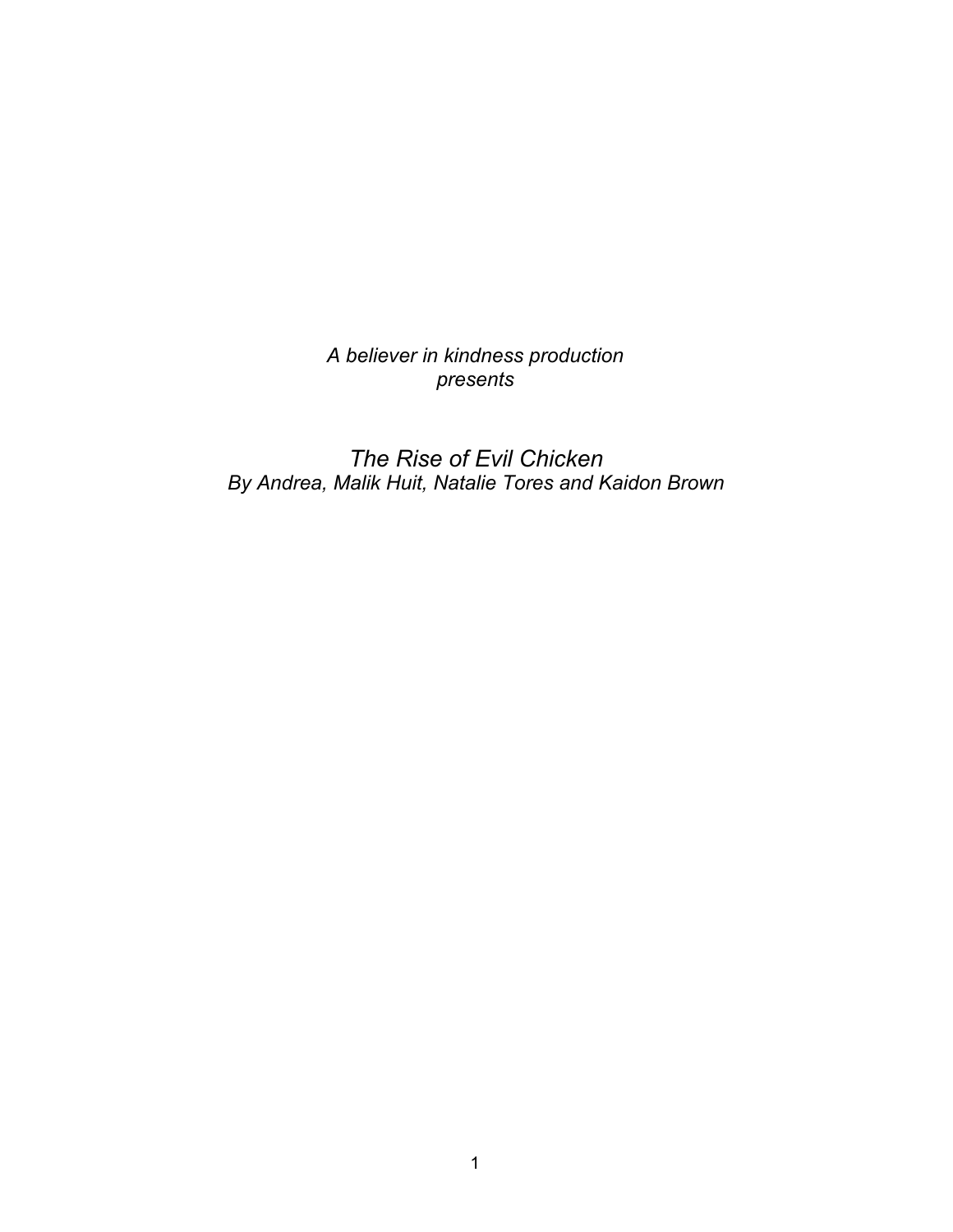*A believer in kindness production presents*

*The Rise of Evil Chicken By Andrea, Malik Huit, Natalie Tores and Kaidon Brown*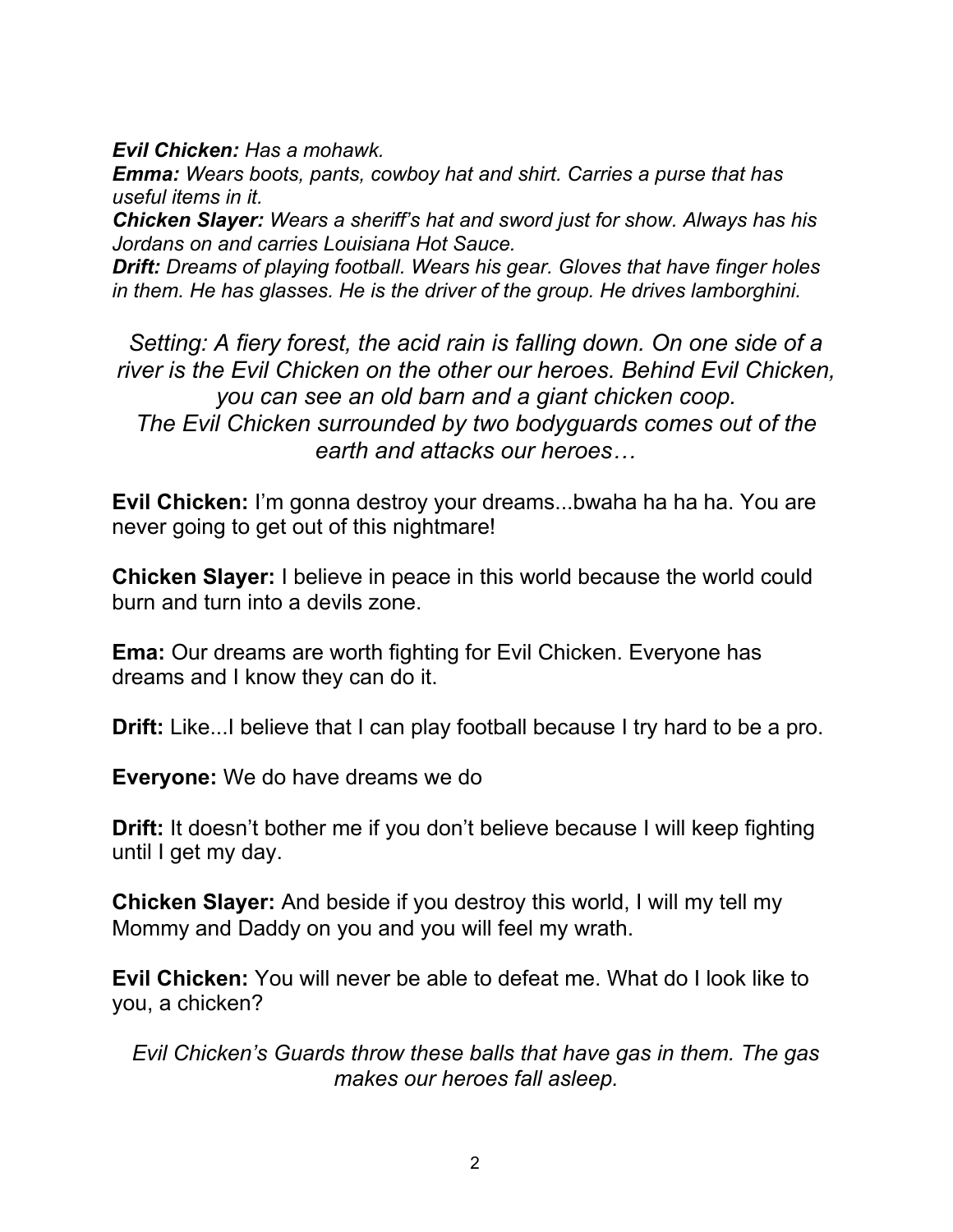*Evil Chicken: Has a mohawk.*

*Emma: Wears boots, pants, cowboy hat and shirt. Carries a purse that has useful items in it.*

*Chicken Slayer: Wears a sheriff's hat and sword just for show. Always has his Jordans on and carries Louisiana Hot Sauce.*

*Drift: Dreams of playing football. Wears his gear. Gloves that have finger holes in them. He has glasses. He is the driver of the group. He drives lamborghini.*

*Setting: A fiery forest, the acid rain is falling down. On one side of a river is the Evil Chicken on the other our heroes. Behind Evil Chicken, you can see an old barn and a giant chicken coop. The Evil Chicken surrounded by two bodyguards comes out of the earth and attacks our heroes…*

**Evil Chicken:** I'm gonna destroy your dreams...bwaha ha ha ha. You are never going to get out of this nightmare!

**Chicken Slayer:** I believe in peace in this world because the world could burn and turn into a devils zone.

**Ema:** Our dreams are worth fighting for Evil Chicken. Everyone has dreams and I know they can do it.

**Drift:** Like...I believe that I can play football because I try hard to be a pro.

**Everyone:** We do have dreams we do

**Drift:** It doesn't bother me if you don't believe because I will keep fighting until I get my day.

**Chicken Slayer:** And beside if you destroy this world, I will my tell my Mommy and Daddy on you and you will feel my wrath.

**Evil Chicken:** You will never be able to defeat me. What do I look like to you, a chicken?

*Evil Chicken's Guards throw these balls that have gas in them. The gas makes our heroes fall asleep.*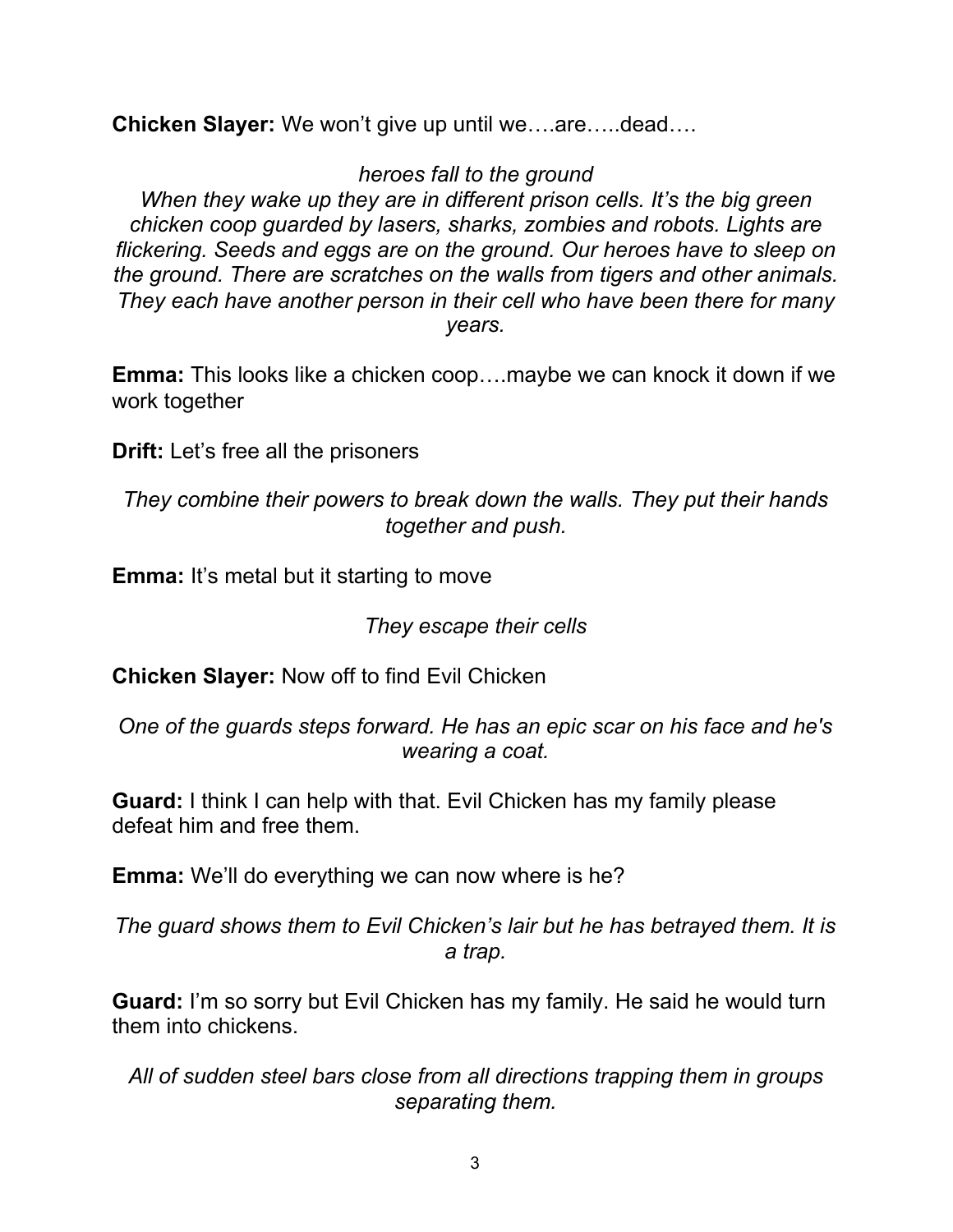**Chicken Slayer:** We won't give up until we….are…..dead….

## *heroes fall to the ground*

*When they wake up they are in different prison cells. It's the big green chicken coop guarded by lasers, sharks, zombies and robots. Lights are flickering. Seeds and eggs are on the ground. Our heroes have to sleep on the ground. There are scratches on the walls from tigers and other animals. They each have another person in their cell who have been there for many years.*

**Emma:** This looks like a chicken coop….maybe we can knock it down if we work together

**Drift:** Let's free all the prisoners

*They combine their powers to break down the walls. They put their hands together and push.*

**Emma:** It's metal but it starting to move

## *They escape their cells*

**Chicken Slayer:** Now off to find Evil Chicken

*One of the guards steps forward. He has an epic scar on his face and he's wearing a coat.*

**Guard:** I think I can help with that. Evil Chicken has my family please defeat him and free them.

**Emma:** We'll do everything we can now where is he?

*The guard shows them to Evil Chicken's lair but he has betrayed them. It is a trap.*

**Guard:** I'm so sorry but Evil Chicken has my family. He said he would turn them into chickens.

*All of sudden steel bars close from all directions trapping them in groups separating them.*